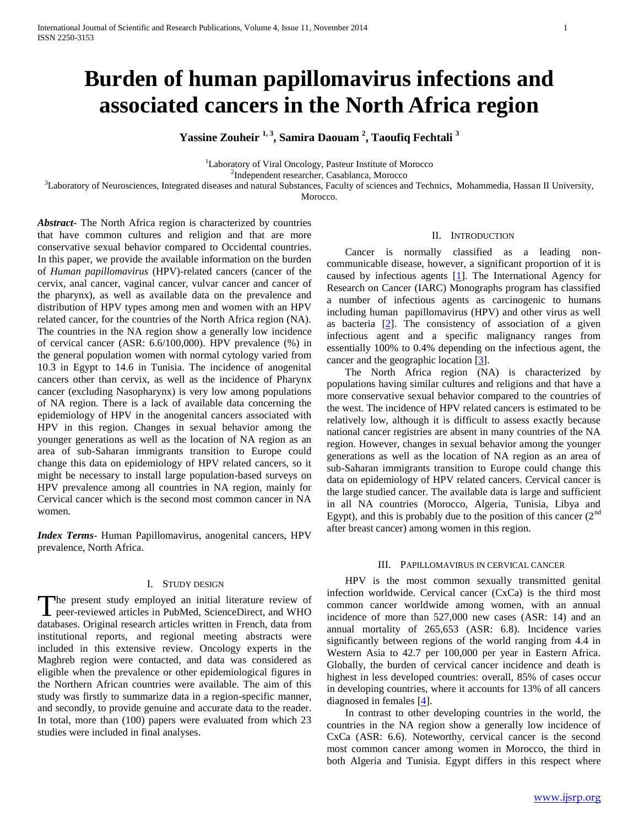# **Burden of human papillomavirus infections and associated cancers in the North Africa region**

**Yassine Zouheir 1, 3, Samira Daouam <sup>2</sup> , Taoufiq Fechtali <sup>3</sup>**

<sup>1</sup>Laboratory of Viral Oncology, Pasteur Institute of Morocco

2 Independent researcher, Casablanca, Morocco

 ${}^{3}$ Laboratory of Neurosciences, Integrated diseases and natural Substances, Faculty of sciences and Technics, Mohammedia, Hassan II University,

Morocco.

*Abstract***-** The North Africa region is characterized by countries that have common cultures and religion and that are more conservative sexual behavior compared to Occidental countries. In this paper, we provide the available information on the burden of *Human papillomavirus* (HPV)-related cancers (cancer of the cervix, anal cancer, vaginal cancer, vulvar cancer and cancer of the pharynx), as well as available data on the prevalence and distribution of HPV types among men and women with an HPV related cancer, for the countries of the North Africa region (NA). The countries in the NA region show a generally low incidence of cervical cancer (ASR: 6.6/100,000). HPV prevalence (%) in the general population women with normal cytology varied from 10.3 in Egypt to 14.6 in Tunisia. The incidence of anogenital cancers other than cervix, as well as the incidence of Pharynx cancer (excluding Nasopharynx) is very low among populations of NA region. There is a lack of available data concerning the epidemiology of HPV in the anogenital cancers associated with HPV in this region. Changes in sexual behavior among the younger generations as well as the location of NA region as an area of sub-Saharan immigrants transition to Europe could change this data on epidemiology of HPV related cancers, so it might be necessary to install large population-based surveys on HPV prevalence among all countries in NA region, mainly for Cervical cancer which is the second most common cancer in NA women.

*Index Terms*- Human Papillomavirus, anogenital cancers, HPV prevalence, North Africa.

# I. STUDY DESIGN

The present study employed an initial literature review of The present study employed an initial literature review of peer-reviewed articles in PubMed, ScienceDirect, and WHO databases. Original research articles written in French, data from institutional reports, and regional meeting abstracts were included in this extensive review. Oncology experts in the Maghreb region were contacted, and data was considered as eligible when the prevalence or other epidemiological figures in the Northern African countries were available. The aim of this study was firstly to summarize data in a region-specific manner, and secondly, to provide genuine and accurate data to the reader. In total, more than (100) papers were evaluated from which 23 studies were included in final analyses.

#### II. INTRODUCTION

 Cancer is normally classified as a leading noncommunicable disease, however, a significant proportion of it is caused by infectious agents [1]. The International Agency for Research on Cancer (IARC) Monographs program has classified a number of infectious agents as carcinogenic to humans including human papillomavirus (HPV) and other virus as well as bacteria  $[2]$ . The consistency of association of a given infectious agent and a specific malignancy ranges from essentially 100% to 0.4% depending on the infectious agent, the cancer and the geographic location  $[3]$ .

 The North Africa region (NA) is characterized by populations having similar cultures and religions and that have a more conservative sexual behavior compared to the countries of the west. The incidence of HPV related cancers is estimated to be relatively low, although it is difficult to assess exactly because national cancer registries are absent in many countries of the NA region. However, changes in sexual behavior among the younger generations as well as the location of NA region as an area of sub-Saharan immigrants transition to Europe could change this data on epidemiology of HPV related cancers. Cervical cancer is the large studied cancer. The available data is large and sufficient in all NA countries (Morocco, Algeria, Tunisia, Libya and Egypt), and this is probably due to the position of this cancer  $(2<sup>nd</sup>$ after breast cancer) among women in this region.

## III. PAPILLOMAVIRUS IN CERVICAL CANCER

 HPV is the most common sexually transmitted genital infection worldwide. Cervical cancer (CxCa) is the third most common cancer worldwide among women, with an annual incidence of more than 527,000 new cases (ASR: 14) and an annual mortality of 265,653 (ASR: 6.8). Incidence varies significantly between regions of the world ranging from 4.4 in Western Asia to 42.7 per 100,000 per year in Eastern Africa. Globally, the burden of cervical cancer incidence and death is highest in less developed countries: overall, 85% of cases occur in developing countries, where it accounts for 13% of all cancers diagnosed in females [4].

 In contrast to other developing countries in the world, the countries in the NA region show a generally low incidence of CxCa (ASR: 6.6). Noteworthy, cervical cancer is the second most common cancer among women in Morocco, the third in both Algeria and Tunisia. Egypt differs in this respect where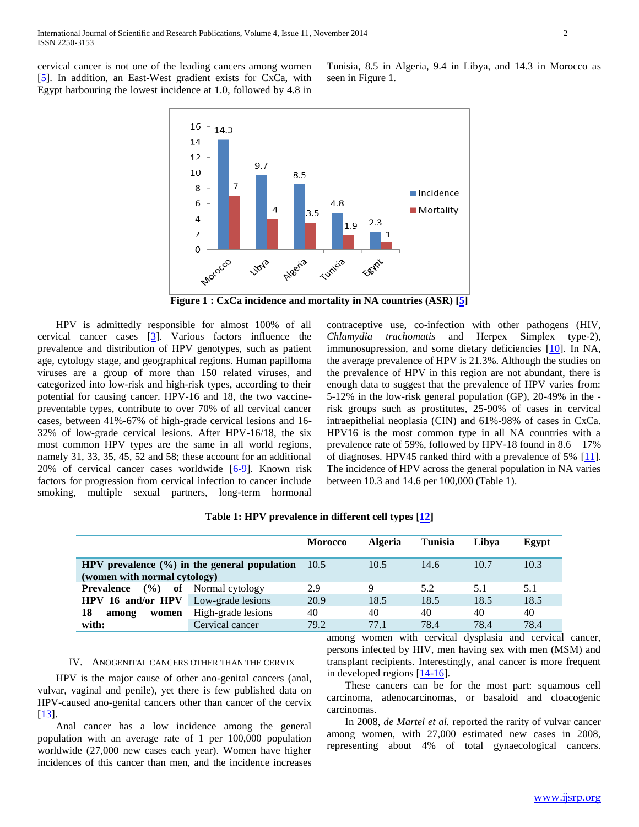cervical cancer is not one of the leading cancers among women [5]. In addition, an East-West gradient exists for CxCa, with Egypt harbouring the lowest incidence at 1.0, followed by 4.8 in



seen in Figure 1.

**Figure 1 : CxCa incidence and mortality in NA countries (ASR) [5]**

 HPV is admittedly responsible for almost 100% of all cervical cancer cases [3]. Various factors influence the prevalence and distribution of HPV genotypes, such as patient age, cytology stage, and geographical regions. Human papilloma viruses are a group of more than 150 related viruses, and categorized into low-risk and high-risk types, according to their potential for causing cancer. HPV-16 and 18, the two vaccinepreventable types, contribute to over 70% of all cervical cancer cases, between 41%-67% of high-grade cervical lesions and 16- 32% of low-grade cervical lesions. After HPV-16/18, the six most common HPV types are the same in all world regions, namely 31, 33, 35, 45, 52 and 58; these account for an additional 20% of cervical cancer cases worldwide [6-9]. Known risk factors for progression from cervical infection to cancer include smoking, multiple sexual partners, long-term hormonal

contraceptive use, co-infection with other pathogens (HIV, *Chlamydia trachomatis* and Herpex Simplex type-2), immunosupression, and some dietary deficiencies [10]. In NA, the average prevalence of HPV is 21.3%. Although the studies on the prevalence of HPV in this region are not abundant, there is enough data to suggest that the prevalence of HPV varies from: 5-12% in the low-risk general population (GP), 20-49% in the risk groups such as prostitutes, 25-90% of cases in cervical intraepithelial neoplasia (CIN) and 61%-98% of cases in CxCa. HPV16 is the most common type in all NA countries with a prevalence rate of 59%, followed by HPV-18 found in 8.6 – 17% of diagnoses. HPV45 ranked third with a prevalence of 5% [11]. The incidence of HPV across the general population in NA varies between 10.3 and 14.6 per 100,000 (Table 1).

Tunisia, 8.5 in Algeria, 9.4 in Libya, and 14.3 in Morocco as

|                                                  |                    | <b>Morocco</b> | <b>Algeria</b> | <b>Tunisia</b> | Libya | Egypt |
|--------------------------------------------------|--------------------|----------------|----------------|----------------|-------|-------|
|                                                  |                    |                |                |                |       |       |
| HPV prevalence $(\% )$ in the general population |                    | 10.5           | 10.5           | 14.6           | 10.7  | 10.3  |
| (women with normal cytology)                     |                    |                |                |                |       |       |
| $($ %)<br><b>Prevalence</b>                      | of Normal cytology | 2.9            | 9              | 5.2            | 5.1   | 5.1   |
| HPV 16 and/or HPV                                | Low-grade lesions  | 20.9           | 18.5           | 18.5           | 18.5  | 18.5  |
| 18<br>women<br>among                             | High-grade lesions | 40             | 40             | 40             | 40    | 40    |
| with:                                            | Cervical cancer    | 79.2           | 77.1           | 78.4           | 78.4  | 78.4  |

**Table 1: HPV prevalence in different cell types [12]**

### IV. ANOGENITAL CANCERS OTHER THAN THE CERVIX

 HPV is the major cause of other ano-genital cancers (anal, vulvar, vaginal and penile), yet there is few published data on HPV-caused ano-genital cancers other than cancer of the cervix [13].

 Anal cancer has a low incidence among the general population with an average rate of 1 per 100,000 population worldwide (27,000 new cases each year). Women have higher incidences of this cancer than men, and the incidence increases among women with cervical dysplasia and cervical cancer, persons infected by HIV, men having sex with men (MSM) and transplant recipients. Interestingly, anal cancer is more frequent in developed regions [14-16].

 These cancers can be for the most part: squamous cell carcinoma, adenocarcinomas, or basaloid and cloacogenic carcinomas.

 In 2008, *de Martel et al.* reported the rarity of vulvar cancer among women, with 27,000 estimated new cases in 2008, representing about 4% of total gynaecological cancers.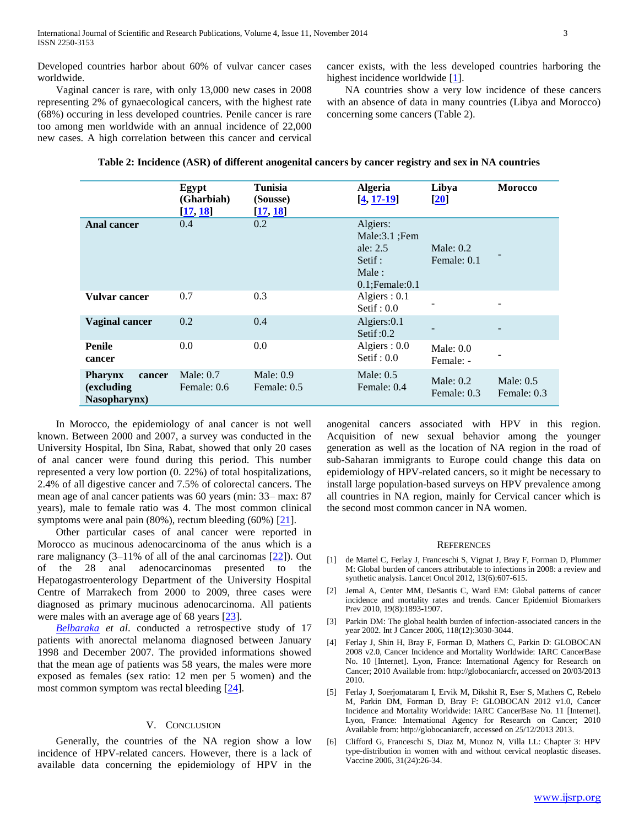Developed countries harbor about 60% of vulvar cancer cases worldwide.

 Vaginal cancer is rare, with only 13,000 new cases in 2008 representing 2% of gynaecological cancers, with the highest rate (68%) occuring in less developed countries. Penile cancer is rare too among men worldwide with an annual incidence of 22,000 new cases. A high correlation between this cancer and cervical cancer exists, with the less developed countries harboring the highest incidence worldwide  $[1]$ .

 NA countries show a very low incidence of these cancers with an absence of data in many countries (Libya and Morocco) concerning some cancers (Table 2).

| Table 2: Incidence (ASR) of different anogenital cancers by cancer registry and sex in NA countries |  |
|-----------------------------------------------------------------------------------------------------|--|
|-----------------------------------------------------------------------------------------------------|--|

|                                                                | Egypt<br>(Gharbiah)<br>[17, 18] | Tunisia<br>(Sousse)<br>[17, 18] | <b>Algeria</b><br>$[4, 17 - 19]$                                                         | Libya<br>$\left[20\right]$ | <b>Morocco</b>             |
|----------------------------------------------------------------|---------------------------------|---------------------------------|------------------------------------------------------------------------------------------|----------------------------|----------------------------|
| <b>Anal cancer</b>                                             | 0.4                             | 0.2                             | Algiers:<br>Male: $3.1$ ; Fem<br>ale: $2.5$<br>Setif :<br>Male:<br>$0.1$ : Female: $0.1$ | Male: $0.2$<br>Female: 0.1 |                            |
| Vulvar cancer                                                  | 0.7                             | 0.3                             | Algiers : $0.1$<br>Setif : $0.0$                                                         |                            |                            |
| <b>Vaginal cancer</b>                                          | 0.2                             | 0.4                             | Algiers: 0.1<br>Setif: $0.2$                                                             |                            |                            |
| <b>Penile</b><br>cancer                                        | 0.0                             | 0.0                             | Algiers : $0.0$<br>Setif : $0.0$                                                         | Male: $0.0$<br>Female: -   |                            |
| <b>Pharynx</b><br>cancer<br><i>(excluding)</i><br>Nasopharynx) | Male: $0.7$<br>Female: 0.6      | Male: $0.9$<br>Female: 0.5      | Male: $0.5$<br>Female: 0.4                                                               | Male: $0.2$<br>Female: 0.3 | Male: $0.5$<br>Female: 0.3 |

 In Morocco, the epidemiology of anal cancer is not well known. Between 2000 and 2007, a survey was conducted in the University Hospital, Ibn Sina, Rabat, showed that only 20 cases of anal cancer were found during this period. This number represented a very low portion (0. 22%) of total hospitalizations, 2.4% of all digestive cancer and 7.5% of colorectal cancers. The mean age of anal cancer patients was 60 years (min: 33– max: 87 years), male to female ratio was 4. The most common clinical symptoms were anal pain (80%), rectum bleeding (60%) [21].

 Other particular cases of anal cancer were reported in Morocco as mucinous adenocarcinoma of the anus which is a rare malignancy  $(3-11\%$  of all of the anal carcinomas  $[22]$ ). Out of the 28 anal adenocarcinomas presented to the Hepatogastroenterology Department of the University Hospital Centre of Marrakech from 2000 to 2009, three cases were diagnosed as primary mucinous adenocarcinoma. All patients were males with an average age of 68 years [23].

 *[Belbaraka](http://www.ncbi.nlm.nih.gov/pubmed?term=Belbaraka%20R%5BAuthor%5D&cauthor=true&cauthor_uid=20886311) et al*. conducted a retrospective study of 17 patients with anorectal melanoma diagnosed between January 1998 and December 2007. The provided informations showed that the mean age of patients was 58 years, the males were more exposed as females (sex ratio: 12 men per 5 women) and the most common symptom was rectal bleeding [24].

## V. CONCLUSION

 Generally, the countries of the NA region show a low incidence of HPV-related cancers. However, there is a lack of available data concerning the epidemiology of HPV in the

anogenital cancers associated with HPV in this region. Acquisition of new sexual behavior among the younger generation as well as the location of NA region in the road of sub-Saharan immigrants to Europe could change this data on epidemiology of HPV-related cancers, so it might be necessary to install large population-based surveys on HPV prevalence among all countries in NA region, mainly for Cervical cancer which is the second most common cancer in NA women.

#### **REFERENCES**

- [1] de Martel C, Ferlay J, Franceschi S, Vignat J, Bray F, Forman D, Plummer M: Global burden of cancers attributable to infections in 2008: a review and synthetic analysis. Lancet Oncol 2012, 13(6):607-615.
- [2] Jemal A, Center MM, DeSantis C, Ward EM: Global patterns of cancer incidence and mortality rates and trends. Cancer Epidemiol Biomarkers Prev 2010, 19(8):1893-1907.
- [3] Parkin DM: The global health burden of infection-associated cancers in the year 2002. Int J Cancer 2006, 118(12):3030-3044.
- [4] Ferlay J, Shin H, Bray F, Forman D, Mathers C, Parkin D: GLOBOCAN 2008 v2.0, Cancer Incidence and Mortality Worldwide: IARC CancerBase No. 10 [Internet]. Lyon, France: International Agency for Research on Cancer; 2010 Available from: http://globocaniarcfr, accessed on 20/03/2013 2010.
- [5] Ferlay J, Soerjomataram I, Ervik M, Dikshit R, Eser S, Mathers C, Rebelo M, Parkin DM, Forman D, Bray F: GLOBOCAN 2012 v1.0, Cancer Incidence and Mortality Worldwide: IARC CancerBase No. 11 [Internet]. Lyon, France: International Agency for Research on Cancer; 2010 Available from: http://globocaniarcfr, accessed on 25/12/2013 2013.
- [6] Clifford G, Franceschi S, Diaz M, Munoz N, Villa LL: Chapter 3: HPV type-distribution in women with and without cervical neoplastic diseases. Vaccine 2006, 31(24):26-34.